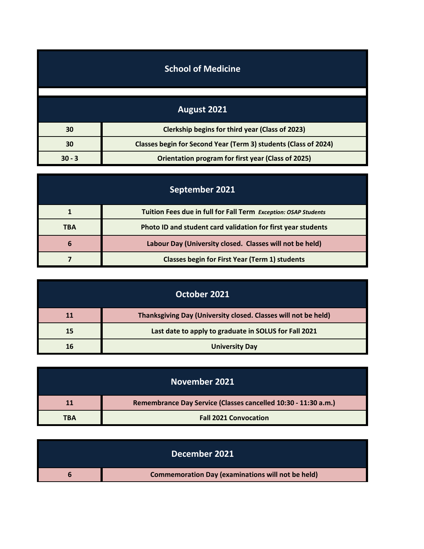|          | <b>School of Medicine</b>                                       |
|----------|-----------------------------------------------------------------|
|          |                                                                 |
|          | August 2021                                                     |
| 30       | <b>Clerkship begins for third year (Class of 2023)</b>          |
| 30       | Classes begin for Second Year (Term 3) students (Class of 2024) |
| $30 - 3$ | Orientation program for first year (Class of 2025)              |

| September 2021 |                                                                 |
|----------------|-----------------------------------------------------------------|
|                | Tuition Fees due in full for Fall Term Exception: OSAP Students |
| <b>TBA</b>     | Photo ID and student card validation for first year students    |
| 6              | Labour Day (University closed. Classes will not be held)        |
|                | <b>Classes begin for First Year (Term 1) students</b>           |

| October 2021 |                                                                |
|--------------|----------------------------------------------------------------|
| 11           | Thanksgiving Day (University closed. Classes will not be held) |
| 15           | Last date to apply to graduate in SOLUS for Fall 2021          |
| 16           | <b>University Day</b>                                          |

|            | November 2021                                                  |
|------------|----------------------------------------------------------------|
| <b>11</b>  | Remembrance Day Service (Classes cancelled 10:30 - 11:30 a.m.) |
| <b>TBA</b> | <b>Fall 2021 Convocation</b>                                   |

|   | December 2021                                            |
|---|----------------------------------------------------------|
| ь | <b>Commemoration Day (examinations will not be held)</b> |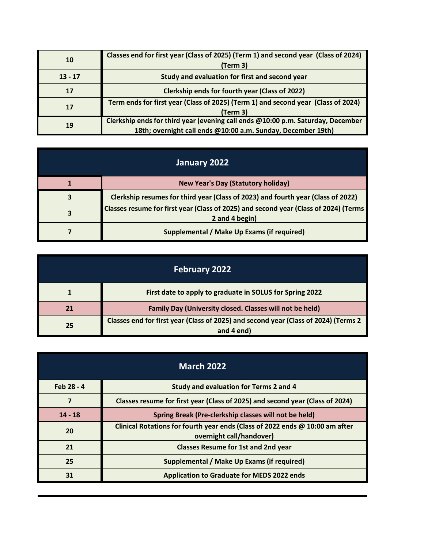| <b>10</b> | Classes end for first year (Class of 2025) (Term 1) and second year (Class of 2024)<br>(Term 3)                                                 |
|-----------|-------------------------------------------------------------------------------------------------------------------------------------------------|
| $13 - 17$ | Study and evaluation for first and second year                                                                                                  |
| 17        | <b>Clerkship ends for fourth year (Class of 2022)</b>                                                                                           |
| 17        | Term ends for first year (Class of 2025) (Term 1) and second year (Class of 2024)<br>(Term 3)                                                   |
| 19        | Clerkship ends for third year (evening call ends @10:00 p.m. Saturday, December<br>18th; overnight call ends @10:00 a.m. Sunday, December 19th) |

| January 2022 |                                                                                                        |
|--------------|--------------------------------------------------------------------------------------------------------|
|              | <b>New Year's Day (Statutory holiday)</b>                                                              |
|              | Clerkship resumes for third year (Class of 2023) and fourth year (Class of 2022)                       |
|              | Classes resume for first year (Class of 2025) and second year (Class of 2024) (Terms<br>2 and 4 begin) |
|              | Supplemental / Make Up Exams (if required)                                                             |

| <b>February 2022</b> |                                                                                                   |
|----------------------|---------------------------------------------------------------------------------------------------|
|                      | First date to apply to graduate in SOLUS for Spring 2022                                          |
|                      | <b>Family Day (University closed. Classes will not be held)</b>                                   |
| 25                   | Classes end for first year (Class of 2025) and second year (Class of 2024) (Terms 2<br>and 4 end) |

| <b>March 2022</b> |                                                                                                          |
|-------------------|----------------------------------------------------------------------------------------------------------|
| Feb 28 - 4        | <b>Study and evaluation for Terms 2 and 4</b>                                                            |
|                   | Classes resume for first year (Class of 2025) and second year (Class of 2024)                            |
| $14 - 18$         | Spring Break (Pre-clerkship classes will not be held)                                                    |
| 20                | Clinical Rotations for fourth year ends (Class of 2022 ends @ 10:00 am after<br>overnight call/handover) |
| 21                | <b>Classes Resume for 1st and 2nd year</b>                                                               |
| 25                | Supplemental / Make Up Exams (if required)                                                               |
| 31                | <b>Application to Graduate for MEDS 2022 ends</b>                                                        |